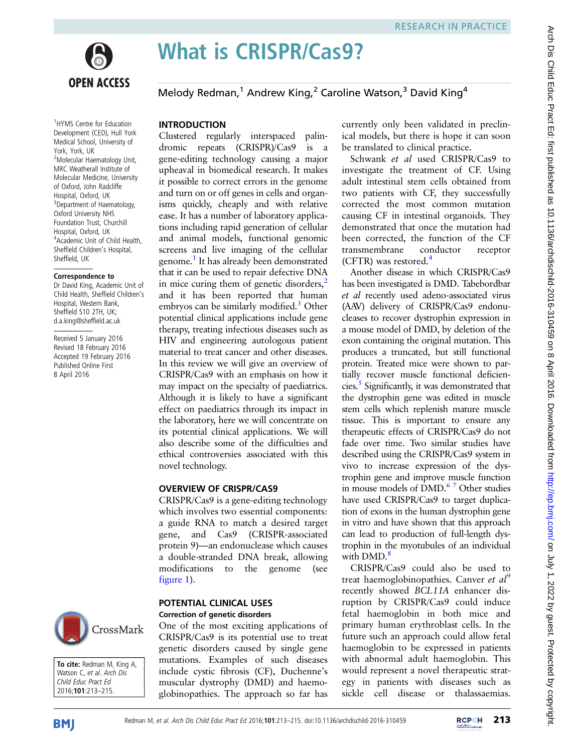

What is CRISPR/Cas9?

Melody Redman,<sup>1</sup> Andrew King,<sup>2</sup> Caroline Watson,<sup>3</sup> David King<sup>4</sup>

#### 1 HYMS Centre for Education Development (CED), Hull York Medical School, University of York, York, UK <sup>2</sup>Molecular Haematology Unit, MRC Weatherall Institute of Molecular Medicine, University of Oxford, John Radcliffe Hospital, Oxford, UK <sup>3</sup> Department of Haematology, Oxford University NHS Foundation Trust, Churchill Hospital, Oxford, UK 4 Academic Unit of Child Health, Sheffield Children's Hospital, Sheffield, UK

#### Correspondence to

Dr David King, Academic Unit of Child Health, Sheffield Children's Hospital, Western Bank, Sheffield S10 2TH, UK; d.a.king@sheffield.ac.uk

Received 5 January 2016 Revised 18 February 2016 Accepted 19 February 2016 Published Online First 8 April 2016



To cite: Redman M, King A, Watson C, et al. Arch Dis Child Educ Pract Ed 2016;101:213–215.

# INTRODUCTION

Clustered regularly interspaced palindromic repeats (CRISPR)/Cas9 is a gene-editing technology causing a major upheaval in biomedical research. It makes it possible to correct errors in the genome and turn on or off genes in cells and organisms quickly, cheaply and with relative ease. It has a number of laboratory applications including rapid generation of cellular and animal models, functional genomic screens and live imaging of the cellular genome.<sup>1</sup> It has already been demonstrated that it can be used to repair defective DNA in mice curing them of genetic disorders, $<sup>2</sup>$ </sup> and it has been reported that human embryos can be similarly modified.<sup>[3](#page-2-0)</sup> Other potential clinical applications include gene therapy, treating infectious diseases such as HIV and engineering autologous patient material to treat cancer and other diseases. In this review we will give an overview of CRISPR/Cas9 with an emphasis on how it may impact on the specialty of paediatrics. Although it is likely to have a significant effect on paediatrics through its impact in the laboratory, here we will concentrate on its potential clinical applications. We will also describe some of the difficulties and ethical controversies associated with this novel technology.

#### OVERVIEW OF CRISPR/CAS9

CRISPR/Cas9 is a gene-editing technology which involves two essential components: a guide RNA to match a desired target gene, and Cas9 (CRISPR-associated protein 9)—an endonuclease which causes a double-stranded DNA break, allowing modifications to the genome (see [figure 1](#page-1-0)).

### POTENTIAL CLINICAL USES Correction of genetic disorders

One of the most exciting applications of CRISPR/Cas9 is its potential use to treat genetic disorders caused by single gene mutations. Examples of such diseases include cystic fibrosis (CF), Duchenne's muscular dystrophy (DMD) and haemoglobinopathies. The approach so far has

currently only been validated in preclinical models, but there is hope it can soon be translated to clinical practice.

Schwank et al used CRISPR/Cas9 to investigate the treatment of CF. Using adult intestinal stem cells obtained from two patients with CF, they successfully corrected the most common mutation causing CF in intestinal organoids. They demonstrated that once the mutation had been corrected, the function of the CF transmembrane conductor receptor  $(CFTR)$  was restored.<sup>[4](#page-2-0)</sup>

Another disease in which CRISPR/Cas9 has been investigated is DMD. Tabebordbar et al recently used adeno-associated virus (AAV) delivery of CRISPR/Cas9 endonucleases to recover dystrophin expression in a mouse model of DMD, by deletion of the exon containing the original mutation. This produces a truncated, but still functional protein. Treated mice were shown to partially recover muscle functional deficiencies.[5](#page-2-0) Significantly, it was demonstrated that the dystrophin gene was edited in muscle stem cells which replenish mature muscle tissue. This is important to ensure any therapeutic effects of CRISPR/Cas9 do not fade over time. Two similar studies have described using the CRISPR/Cas9 system in vivo to increase expression of the dystrophin gene and improve muscle function in mouse models of DMD.<sup>67</sup> Other studies have used CRISPR/Cas9 to target duplication of exons in the human dystrophin gene in vitro and have shown that this approach can lead to production of full-length dystrophin in the myotubules of an individual with DMD.<sup>[8](#page-2-0)</sup>

CRISPR/Cas9 could also be used to treat haemoglobinopathies. Canver *et al*<sup>[9](#page-2-0)</sup> recently showed BCL11A enhancer disruption by CRISPR/Cas9 could induce fetal haemoglobin in both mice and primary human erythroblast cells. In the future such an approach could allow fetal haemoglobin to be expressed in patients with abnormal adult haemoglobin. This would represent a novel therapeutic strategy in patients with diseases such as sickle cell disease or thalassaemias.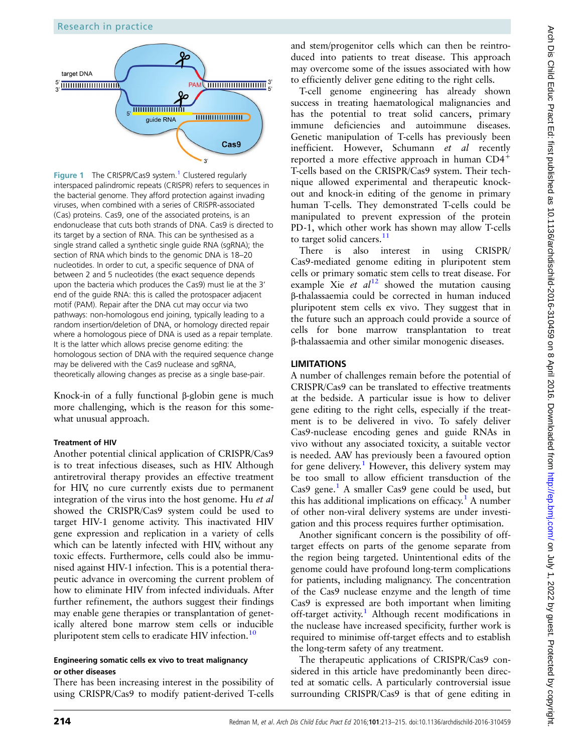### Research in practice

<span id="page-1-0"></span>

**Figure [1](#page-2-0)** The CRISPR/Cas9 system.<sup>1</sup> Clustered regularly interspaced palindromic repeats (CRISPR) refers to sequences in the bacterial genome. They afford protection against invading viruses, when combined with a series of CRISPR-associated (Cas) proteins. Cas9, one of the associated proteins, is an endonuclease that cuts both strands of DNA. Cas9 is directed to its target by a section of RNA. This can be synthesised as a single strand called a synthetic single guide RNA (sgRNA); the section of RNA which binds to the genomic DNA is 18–20 nucleotides. In order to cut, a specific sequence of DNA of between 2 and 5 nucleotides (the exact sequence depends upon the bacteria which produces the Cas9) must lie at the 3' end of the guide RNA: this is called the protospacer adjacent motif (PAM). Repair after the DNA cut may occur via two pathways: non-homologous end joining, typically leading to a random insertion/deletion of DNA, or homology directed repair where a homologous piece of DNA is used as a repair template. It is the latter which allows precise genome editing: the homologous section of DNA with the required sequence change may be delivered with the Cas9 nuclease and sgRNA, theoretically allowing changes as precise as a single base-pair.

Knock-in of a fully functional β-globin gene is much more challenging, which is the reason for this somewhat unusual approach.

### Treatment of HIV

Another potential clinical application of CRISPR/Cas9 is to treat infectious diseases, such as HIV. Although antiretroviral therapy provides an effective treatment for HIV, no cure currently exists due to permanent integration of the virus into the host genome. Hu et al showed the CRISPR/Cas9 system could be used to target HIV-1 genome activity. This inactivated HIV gene expression and replication in a variety of cells which can be latently infected with HIV, without any toxic effects. Furthermore, cells could also be immunised against HIV-1 infection. This is a potential therapeutic advance in overcoming the current problem of how to eliminate HIV from infected individuals. After further refinement, the authors suggest their findings may enable gene therapies or transplantation of genetically altered bone marrow stem cells or inducible pluripotent stem cells to eradicate HIV infection.<sup>[10](#page-2-0)</sup>

#### Engineering somatic cells ex vivo to treat malignancy or other diseases

There has been increasing interest in the possibility of using CRISPR/Cas9 to modify patient-derived T-cells

and stem/progenitor cells which can then be reintroduced into patients to treat disease. This approach may overcome some of the issues associated with how to efficiently deliver gene editing to the right cells.

T-cell genome engineering has already shown success in treating haematological malignancies and has the potential to treat solid cancers, primary immune deficiencies and autoimmune diseases. Genetic manipulation of T-cells has previously been inefficient. However, Schumann et al recently reported a more effective approach in human CD4<sup>+</sup> T-cells based on the CRISPR/Cas9 system. Their technique allowed experimental and therapeutic knockout and knock-in editing of the genome in primary human T-cells. They demonstrated T-cells could be manipulated to prevent expression of the protein PD-1, which other work has shown may allow T-cells to target solid cancers. $11$ 

There is also interest in using CRISPR/ Cas9-mediated genome editing in pluripotent stem cells or primary somatic stem cells to treat disease. For example Xie et  $al^{12}$  $al^{12}$  $al^{12}$  showed the mutation causing β-thalassaemia could be corrected in human induced pluripotent stem cells ex vivo. They suggest that in the future such an approach could provide a source of cells for bone marrow transplantation to treat β-thalassaemia and other similar monogenic diseases.

## LIMITATIONS

A number of challenges remain before the potential of CRISPR/Cas9 can be translated to effective treatments at the bedside. A particular issue is how to deliver gene editing to the right cells, especially if the treatment is to be delivered in vivo. To safely deliver Cas9-nuclease encoding genes and guide RNAs in vivo without any associated toxicity, a suitable vector is needed. AAV has previously been a favoured option for gene delivery.<sup>[1](#page-2-0)</sup> However, this delivery system may be too small to allow efficient transduction of the  $Cas9$  gene.<sup>[1](#page-2-0)</sup> A smaller Cas9 gene could be used, but this has additional implications on efficacy.<sup>[1](#page-2-0)</sup> A number of other non-viral delivery systems are under investigation and this process requires further optimisation.

Another significant concern is the possibility of offtarget effects on parts of the genome separate from the region being targeted. Unintentional edits of the genome could have profound long-term complications for patients, including malignancy. The concentration of the Cas9 nuclease enzyme and the length of time Cas9 is expressed are both important when limiting off-target activity.<sup>[1](#page-2-0)</sup> Although recent modifications in the nuclease have increased specificity, further work is required to minimise off-target effects and to establish the long-term safety of any treatment.

The therapeutic applications of CRISPR/Cas9 considered in this article have predominantly been directed at somatic cells. A particularly controversial issue surrounding CRISPR/Cas9 is that of gene editing in